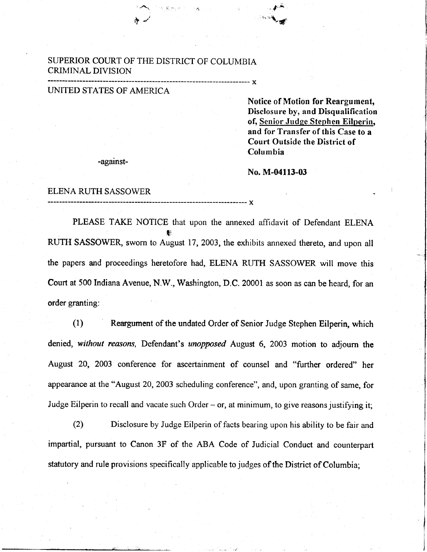### SUPERIOR COURT OF THE DISTRICT OF COLUMBIA CRIMINAL DIVISION

 $\mathcal{A}^{\mathcal{A}}$ 

 $\bm{\tau}$  .

#### UNITED STATES OF AMERICA

Notice of Motion for Reargument, Disclosure by, and Disqualification of, Senior Judge Stephen Eilperin, and for Transfer of this Case to a Court Outside the District of Columbia

-against-

#### No. M-04113-03

,  $\blacklozenge$ r',:r,iL#l

 $- x$ 

#### ELENA RUTH SASSOWER

PLEASE TAKE NOTICE that upon the annexed affidavit of Defendant ELENA ti RUTH SASSOWER, sworn to August 17,2003, the exhibits annexed thereto, and upon all the papers and proceedings heretofore had, ELENA RUTH SASSOWER will move this Court at 500 Indiana Avenue, N.W., Washington, D.C. 20001 as soon as can be heard, for an order granting:

(l) Reargument of the undated Order of Senior Judge Stephen Eilperin, which denied, without reasons, Defendant's unopposed August 6, 2003 motion to adjourn the August 20, 2003 conference for ascertainment of counsel and "further ordered" her appearance at the "August 20,2003 scheduling conference", and, upon granting of same, for Judge Eilperin to recall and vacate such Order - or, at minimum, to give reasons justifying it;

Disclosure by Judge Eilperin of facts bearing upon his ability to be fair and impartial, pursuant to Canon 3F of the ABA Code of Judicial Conduct and counterpart statutory and rule provisions specifically applicable to judges of the District of Columbia; (2)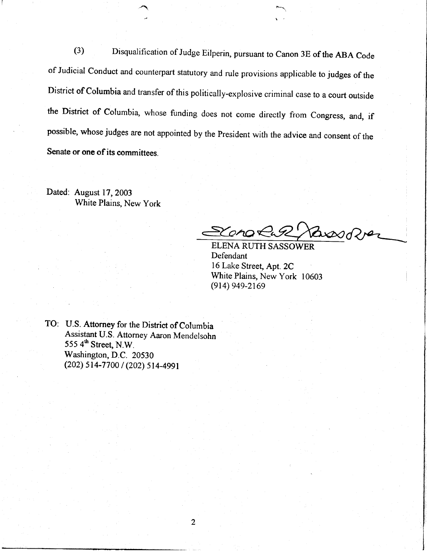(3) Disqualification of Judge Eilperin, pursuant to Canon 3E of the ABA Code of Judicial Conduct and counterpart statutory and rule provisions applicable to judges of the District of Columbia and transfer of this politically-explosive criminal case to a court outside the District of Columbia, whose funding does not come directly from Congress, and, if possible, whose judges are not appointed by the President with the advice and consent of the Senate or one of its committees.

Dated: August 17,2003 White Plains, New York

&oao  $\Delta x \in Q$ 

ELENA RUTH SASSOWER Defendant 16 Lake Street, Apt.2C White Plains, New York 10603 (914) 949-2169

TO: U.S. Attorney for the District of Columbia Assistant U.S. Attorney Aaron Mendelsohn  $5554<sup>th</sup> Street, N.W.$ Washington, D.C. 20530  $(202) 514 - 7700 / (202) 514 - 4991$ 

 $\overline{2}$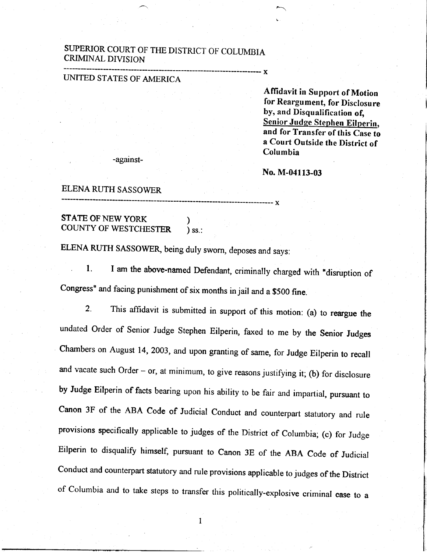# SUPERIOR COURT OF THE DISTRICT OF COLUMBIA CRIMINAL DIVISION

# UMTED STATES OF AMERICA

Affidavit in Support of Motion for Reargument, for Disclosure by, and Disqualification of, Senior Judge Stephen Eilperin, and for Transfer of this Case to a Court Outside the District of Columbia

against-

No. M-04113-03

- x

---- x

### ELENA RUTH SASSOWER

# **STATE OF NEW YORK** )<br>COUNTY OF WESTCHESTER ) ss.: COUNTY OF WESTCHESTER

ELENA RUTH SASSOWER, being duly sworn, deposes and says:

1. I am the above-named Defendant, criminally charged with "disruption of congress" and facing punishment of six months in jail and a \$500 fine.

2. This affidavit is submitted in support of this motion: (a) to reargue the undated Order of Senior Judge Stephen Eilperin, faxed to me by the Senior Judges Chambers on August 14,2003, and upon granting of same, for Judge Eilperin to recall and vacate such Order  $-$  or, at minimum, to give reasons justifying it; (b) for disclosure by Judge Eilperin of facts bearing upon his ability to be fair and impartial, pursuant to Canon 3F of the ABA Code of Judicial Conduct and counterpart statutory and rule provisions specifically applicable to judges of the District of Columbia; (c) for Judge Eilperin to disqualify himself, pursuant to Canon 3E of the ABA Code of Judicial Conduct and counterpart statutory and rule provisions applicable to judges of the District of Columbia and to take steps to transfer this politically-explosive criminal case to a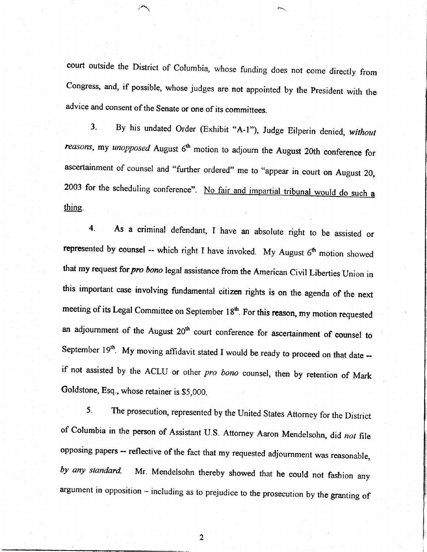court outside the District of Columbia, whose funding does not come directly from Congress, and, if possible, whose judges are not appointed by the president with the advice and consent of the Senate or one of its committees.

3. By his undated Order (Exhibit "A-1"), Judge Eilperin denied, without reasons, my unopposed August  $6<sup>th</sup>$  motion to adjourn the August 20th conference for ascertainment of counsel and "further ordered" me to "appear in court on August 20, 2003 for the scheduling conference". No fair and impartial tribunal would do such a thine.

4. As a criminal defendant, I have an absolute right to be assisted or represented by counsel -- which right I have invoked. My August  $6<sup>th</sup>$  motion showed that my request for pro bono legal assistance from the American Civil Liberties Union in this important case involving fundamental citizen rights is on the agenda of the next meeting of its Legal Committee on September 18<sup>th</sup>. For this reason, my motion requested an adjournment of the August 20<sup>th</sup> court conference for ascertainment of counsel to September  $19<sup>th</sup>$ . My moving affidavit stated I would be ready to proceed on that date  $$ if not assisted by the ACLU or other pro bono counsel, then by retention of Mark Goldstone, Esq., whose retainer is \$5,000.

5. The prosecution, represented by the United States Attorney for the District of Columbia in the person of Assistant U.S. Attorney Aaron Mendelsohn, did not file opposing papers -- reflective of the fact that my requested adjournment was reasonable, by any standard. Mr. Mendelsohn thereby showed that he could not fashion any argument in opposition - including as to prejudice to the prosecution by the granting of

 $\overline{2}$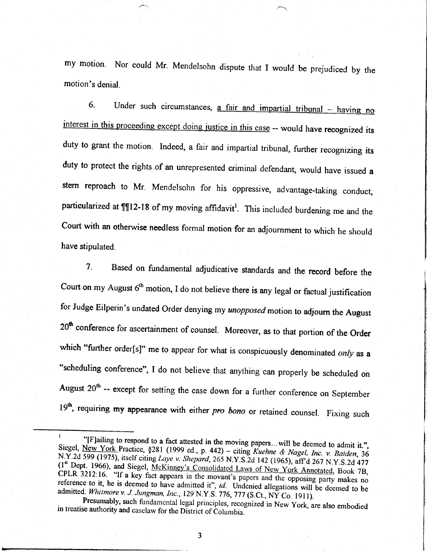my motion. Nor could Mr. Mendelsohn dispute that I would be prejudiced by the motion's denial.

6. Under such circumstances, a fair and impartial tribunal  $-$  having no interest in this proceeding except doing justice in this case -- would have recognized its duty to grant the motion. Indeed, a fair and impartial tribunal, further recognizing its duty to protect the rights of an unrepresented criminal defendant, would have issued a stern reproach to Mr. Mendelsohn for his oppressive, advantage-taking conduct, particularized at  $\P$ 12-18 of my moving affidavit<sup>1</sup>. This included burdening me and the Court with an otherwise needless formal motion for an adjournment to which he should have stipulated.

7. Based on fundamental adjudicative standards and the record before the Court on my August  $6<sup>th</sup>$  motion, I do not believe there is any legal or factual justification for Judge Eilperin's undated Order denying my unopposed motion to adjourn the August 20<sup>th</sup> conference for ascertainment of counsel. Moreover, as to that portion of the Order which "further order[s]" me to appear for what is conspicuously denominated only as a "scheduling conference", I do not believe that anything can properly be scheduled on August  $20<sup>th</sup>$  -- except for setting the case down for a further conference on September 19<sup>th</sup>, requiring my appearance with either pro bono or retained counsel. Fixing such

 $\overline{\mathbf{3}}$ 

<sup>&</sup>lt;sup>1</sup> "[F]ailing to respond to a fact attested in the moving papers...will be deemed to admit it.", Siegel, <u>New York</u> Practice, §281 (1999 ed., p. 442) – citing *Kuehne & Nagel, Inc. v. Baiden*, 36 N.Y.2d 599 (1975), itsel  $(1^{\text{st}}$  Dept. 1966), and Siegel,  $\text{McKinney's}$  Consolidated Laws of New York Annotated, Book 7B, CPLR 3212:16. "If a key fact appears in the movant's papers and the opposing party makes no reference to it, he is deemed to have admitted it", id. Undenied allegations will be deemed to be admitted. Whitmore v. J. Jungman, Inc., 129 N.Y.S. 776, 777 (S.Ct., NY Co. 1911).

Presumably, such fundamental legal principles, recognized in New York, are also embodied in treatise authority and caselaw for the District of Columbia.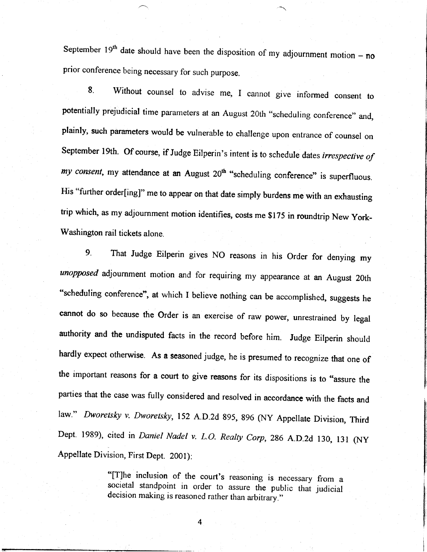September 19<sup>th</sup> date should have been the disposition of my adjournment motion – no prior conference being necessary for such purpose.

8. Without counsel to advise me, I cannot give informed consent to potentially prejudicial time parameters at an August 20th "scheduling conference" and, plainly, such parameters would be vulnerable to challenge upon entrance of counsel on September 19th. Of course, if Judge Eilperin's intent is to schedule dates irrespective of my consent, my attendance at an August  $20<sup>th</sup>$  "scheduling conference" is superfluous. His "further order[ing]" me to appear on that date simply burdens me with an exhausting trip which, as my adjournment motion identifies, costs me \$175 in roundtrip New York-Washington rail tickets alone.

9. That Judge Eilperin gives NO reasons in his Order for denying my unopposed adjournment motion and for requiring my appearance at an August 20th "scheduling conference", at which I believe nothing can be accomplished, suggests he cannot do so because the Order is an exercise of raw power, unrestrained by legal authority and the undisputed facts in the record before him. Judge Eilperin should hardly expect otherwise. As a seasoned judge, he is presumed to recognize that one of the important reasons for a court to give reasons for its dispositions is to "assure the parties that the case was fully considered and resolved in accordance with the facts and law." Dworetsky v. Dworetsky, 152 A.D.2d 895, 896 (NY Appellate Division, Third Dept. 1989), cited in Daniel Nadel v. L.O. Realty Corp, 286 A.D.2d 130, 131 (NY Appellate Division, First Dept. 2001):

> "[T]he inclusion of the court's reasoning is necessary from a societal standpoint in order to assure the public that judicial decision making is reasoned rather than arbitrary."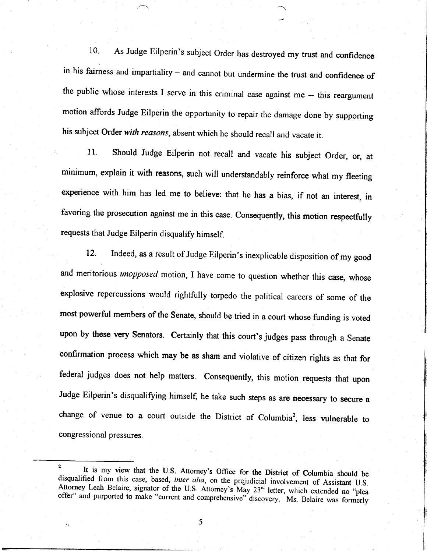10. As Judge Eilperin's subject Order has destroyed my trust and confidence in his fairness and impartiality - and cannot but undermine the trust and confidence of the public whose interests I serve in this criminal case against me -- this reargument motion affords Judge Eilperin the opportunity to repair the damage done by supporting his subject Order with reasons, absent which he should recall and vacate it.

ll. Should Judge Eilperin not recall and vacate his subject Order, or, at minimum, explain it with reasons, such will understandably reinforce what my fleeting experience with him has led me to believe: that he has a bias, if not an interest, in favoring the prosecution against me in this case. Consequently, this motion respectfully requests that Judge Eilperin disqualify himself.

12. Indeed, as a result of Judge Eilperin's inexplicable disposition of my good and meritorious *unopposed* motion, I have come to question whether this case, whose explosive repercussions would rightfully torpedo the political careers of some of the most powerful members of the Senate, should be tried in a court whose funding is voted upon by these very Senators. Certainly that this court's judges pass through a Senate confirmation process which may be as sham and violative of citizen rights as that for federal judges does not help matters. Consequently, this motion requests that upon Judge Eilperin's disqualifying himself, he take such steps as are necessary to secure a change of venue to a court outside the District of Columbia<sup>2</sup>, less vulnerable to congressional pressures.

<sup>&</sup>lt;sup>2</sup> It is my view that the U.S. Attorney's Office for the District of Columbia should be disqualified from this case, based, *inter alia*, on the prejudicial involvement of Assistant U.S. Attorney Leah Belaire, signator o  $\overline{2}$ offer" and purported to make "current and comprehensive""discovery. Ms. Belaire was formerly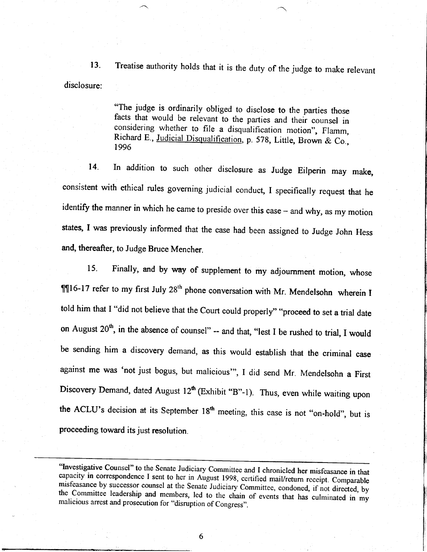13. disclosure: Treatise authority holds that it is the duty of the judge to make relevant

> "The judge is ordinarily obliged to disclose to the parties those facts that would be relevant to the parties and theii counsel in considering whether to file a disqualification motion", Flamm, Richard E., Judicial Disqualification, p. 578, Little, Brown & Co., 1996

14. In addition to such other disclosure as Judge Eilperin may make, consistent with ethical rules governing judicial conduct, I specifically request that he identify the manner in which he came to preside over this case - and why, as my motion states, I was previously informed that the case had been assigned to Judge John Hess and, thereafter, to Judge Bruce Mencher.

15. Finally, and by way of supplement to my adjournment motion, whose  $\P$ [16-17 refer to my first July 28<sup>th</sup> phone conversation with Mr. Mendelsohn wherein I told him that I "did not believe that the Court could properly" "proceed to set a trial date on August  $20<sup>th</sup>$ , in the absence of counsel" -- and that, "lest I be rushed to trial, I would be sending him a discovery demand, as this would establish that the criminal case against me was 'not just bogus, but malicious"', I did send Mr. Mendelsohn a First Discovery Demand, dated August  $12^{th}$  (Exhibit "B"-1). Thus, even while waiting upon the ACLU's decision at its September 18<sup>th</sup> meeting, this case is not "on-hold", but is proceeding toward its just resolution.

"Investigative Counsel" to the Senate Judiciary Committee and I chronicled her misfeasance in that capacity in correspondence I sent to her in August 1998, certified mail/return receipt. Comparable misfeasance by successor counsel at the Senate Judiciary Committee, condoned, if not directed, by the Committee leadership and members, led to the chain of events that has culminated in my malicious arrest and prosecution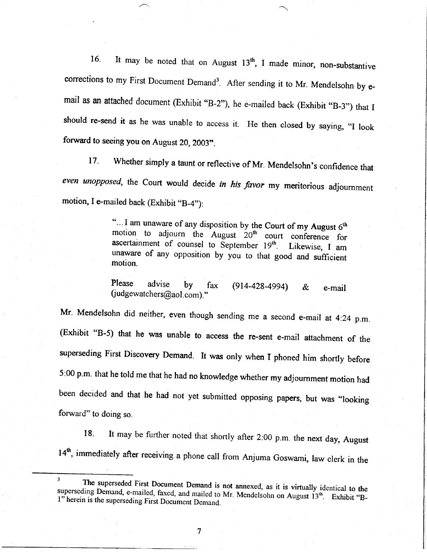16. It may be noted that on August  $13<sup>th</sup>$ , I made minor, non-substantive corrections to my First Document Demand<sup>3</sup>. After sending it to Mr. Mendelsohn by email as an attached document (Exhibit "B-2"), he e-mailed back (Exhibit "B-3") that I should re-send it as he was unable to access it. He then closed by saying, "I look forward to seeing you on August 20, 2003".

17. Whether simply a taunt or reflective of Mr. Mendelsohn's confidence that even unopposed, the Court would decide in his favor my meritorious adjournment motion, I e-mailed back (Exhibit "B-4"):

> "... I am unaware of any disposition by the Court of my August  $6<sup>th</sup>$  motion to adjourn the August  $20<sup>th</sup>$  court conference for ascertainment of counsel to September  $19<sup>th</sup>$ . Likewise, I am unaware of any opposition by you to that good and sufficient motion.

Please advise by fax  $(914-428-4994)$  &  $(iudgewatches@aol.com).$ " e-mail

Mr. Mendelsohn did neither, even though sending me a second e-mail at 4:24 p.m. (Exhibit "B-5) that he was unable to access the re-sent e-mail attachment of the superseding First Discovery Demand. It was only when I phoned him shortly before 5:00 p.m. that he told me that he had no knowledge whether my adjournment motion had been decided and that he had not yet submitted opposing papers, but was "looking forward" to doing so.

18. It may be further noted that shortly after 2:00 p.m. the next day, August 14<sup>th</sup>, immediately after receiving a phone call from Anjuma Goswami, law clerk in the

 $\tau$ 

<sup>3</sup> <sup>3</sup> The superseded First Document Demand is not annexed, as it is virtually identical to the superseding Demand, e-mailed, faxed, and mailed to Mr. Mendelsohn on August  $13<sup>th</sup>$ . Exhibit "Bl" herein is the superseding First Document Demand.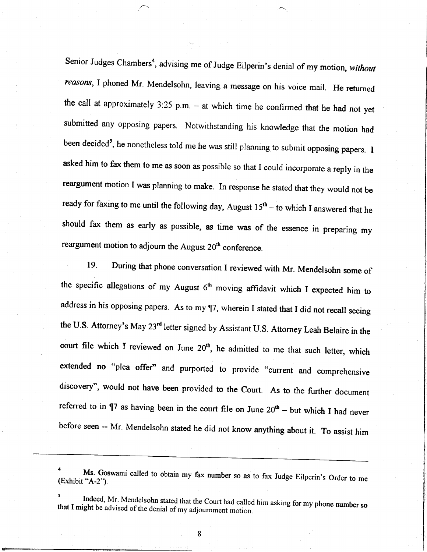Senior Judges Chambers<sup>4</sup>, advising me of Judge Eilperin's denial of my motion, without reasons, I phoned Mr. Mendelsohn, leaving a message on his voice mail. He returned the call at approximately  $3:25$  p.m. - at which time he confirmed that he had not yet submitted any opposing papers. Notwithstanding his knowledge that the motion had been decided<sup>5</sup>, he nonetheless told me he was still planning to submit opposing papers. I asked him to fax them to me as soon as possible so that I could incorporate a reply in the reargument motion I was planning to make. In response he stated that they would not be ready for faxing to me until the following day, August  $15<sup>th</sup>$  - to which I answered that he should fax them as early as possible, as time was of the essence in preparing my reargument motion to adjourn the August  $20<sup>th</sup>$  conference.

19. During that phone conversation I reviewed with Mr. Mendelsohn some of the specific allegations of my August  $6<sup>th</sup>$  moving affidavit which I expected him to address in his opposing papers. As to my 17, wherein I stated that I did not recall seeing the U.S. Attorney's May 23<sup>rd</sup> letter signed by Assistant U.S. Attorney Leah Belaire in the court file which I reviewed on June  $20<sup>th</sup>$ , he admitted to me that such letter, which extended no "plea offer" and purported to provide "current and comprehensive discovery", would not have been provided to the Court. As to the further document referred to in  $\P$ 7 as having been in the court file on June  $20<sup>th</sup>$  - but which I had never before seen -- Mr. Mendelsohn stated he did not know anything about it. To assist him

a (Exhibit "A-2"). Ms. Goswami called to obtain my fax number so as to fax Judge Eilperin's Order to me

<sup>5</sup>  that I might be advised of the denial of my adjournment motion. Indeed, Mr. Mendelsohn stated that the Court had called him asking for my phone number so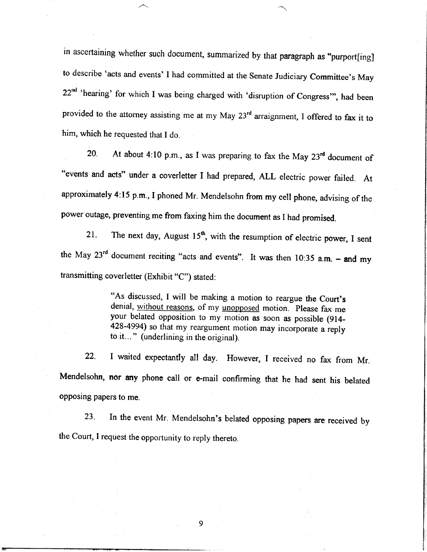in ascertaining whether such document, summarized by that paragraph as "purport[ing] to describe 'acts and events' I had committed at the Senate Judiciary Committee's May  $22<sup>nd</sup>$  'hearing' for which I was being charged with 'disruption of Congress'", had been provided to the attorney assisting me at my May 23<sup>rd</sup> arraignment, I offered to fax it to him, which he requested that I do.

20. At about 4:10 p.m., as I was preparing to fax the May  $23<sup>rd</sup>$  document of "events and acts" under a coverletter I had prepared, ALL electric power failed. At approximately 4:15 p.m., I phoned Mr. Mendelsohn from my cell phone, advising of the power outage, preventing me from faxing him the document as I had promised.

21. The next day, August 15<sup>th</sup>, with the resumption of electric power, I sent the May  $23<sup>rd</sup>$  document reciting "acts and events". It was then 10:35 a.m. - and my transmitting coverletter (Exhibit "C") stated:

> "As discussed, I will be making a motion to reargue the Court's denial, without reasons, of my unopposed motion. Please fax me your belated opposition to my motion as soon as possible (914-428-4994) so that my reargument motion may incorporate a reply to it... " (underlining in the original).

22. I waited expectantly all day. However, I received no fax from Mr. Mendelsohn, nor any phone call or e-mail confirming that he had sent his belated opposing papers to me.

23. In the event Mr. Mendelsohn's belated opposing papers are received by the Court, I request the opportunity to reply thereto.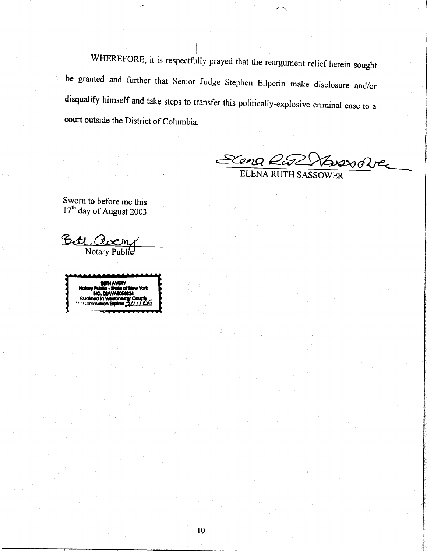WHEREFORE, it is respectfully prayed that the reargument relief herein sought be granted and further that Senior Judge Stephen Eilperin make disclosure and/or disqualify himself and take steps to transfer this politically-explosive criminal case to a court outside the District of Columbia.

Scena Rus Hussolver

ELENA RUTH SASSOWER

Sworn to before me this 17<sup>th</sup> day of August 2003

Bett. Notary Pub

BETH AVERY ia N **Note** v haan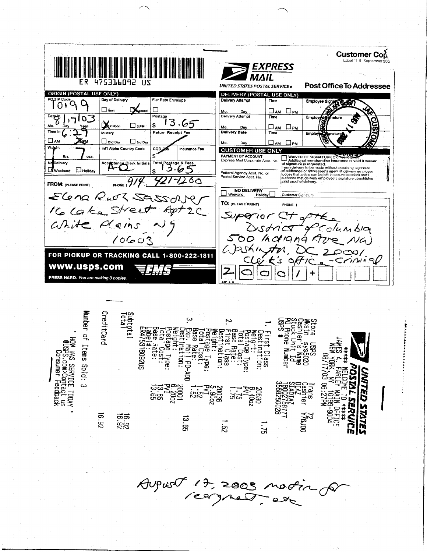

 $A$ upus $\sigma$  17, 2005 notin,  $\overline{\phantom{a}}$